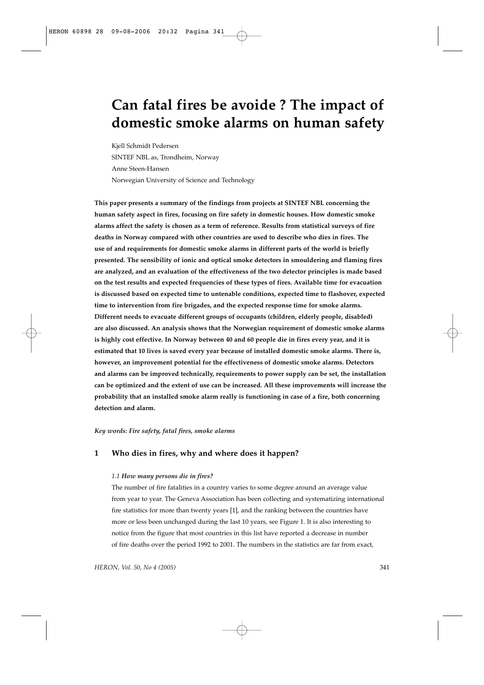# **Can fatal fires be avoide ? The impact of domestic smoke alarms on human safety**

Kjell Schmidt Pedersen SINTEF NBL as, Trondheim, Norway Anne Steen-Hansen Norwegian University of Science and Technology

**This paper presents a summary of the findings from projects at SINTEF NBL concerning the human safety aspect in fires, focusing on fire safety in domestic houses. How domestic smoke alarms affect the safety is chosen as a term of reference. Results from statistical surveys of fire deaths in Norway compared with other countries are used to describe who dies in fires. The use of and requirements for domestic smoke alarms in different parts of the world is briefly presented. The sensibility of ionic and optical smoke detectors in smouldering and flaming fires are analyzed, and an evaluation of the effectiveness of the two detector principles is made based on the test results and expected frequencies of these types of fires. Available time for evacuation is discussed based on expected time to untenable conditions, expected time to flashover, expected time to intervention from fire brigades, and the expected response time for smoke alarms. Different needs to evacuate different groups of occupants (children, elderly people, disabled) are also discussed. An analysis shows that the Norwegian requirement of domestic smoke alarms is highly cost effective. In Norway between 40 and 60 people die in fires every year, and it is estimated that 10 lives is saved every year because of installed domestic smoke alarms. There is, however, an improvement potential for the effectiveness of domestic smoke alarms. Detectors and alarms can be improved technically, requirements to power supply can be set, the installation can be optimized and the extent of use can be increased. All these improvements will increase the probability that an installed smoke alarm really is functioning in case of a fire, both concerning detection and alarm.**

*Key words: Fire safety, fatal fires, smoke alarms*

# **1 Who dies in fires, why and where does it happen?**

#### *1.1 How many persons die in fires?*

The number of fire fatalities in a country varies to some degree around an average value from year to year. The Geneva Association has been collecting and systematizing international fire statistics for more than twenty years [1], and the ranking between the countries have more or less been unchanged during the last 10 years, see Figure 1. It is also interesting to notice from the figure that most countries in this list have reported a decrease in number of fire deaths over the period 1992 to 2001. The numbers in the statistics are far from exact,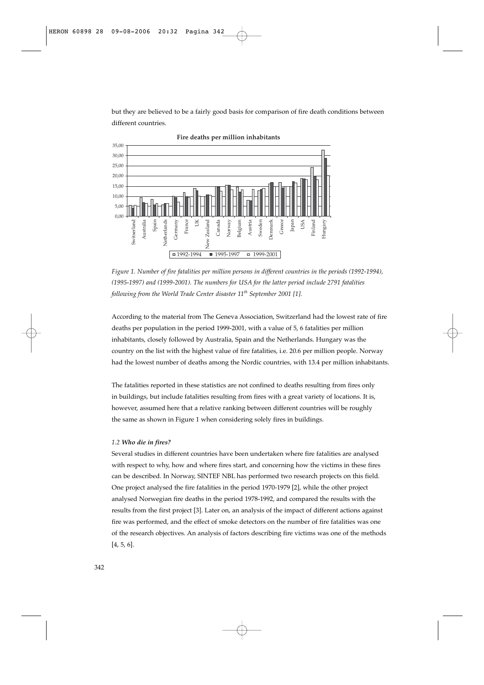but they are believed to be a fairly good basis for comparison of fire death conditions between different countries.



**Fire deaths per million inhabitants**

*Figure 1. Number of fire fatalities per million persons in different countries in the periods (1992-1994), (1995-1997) and (1999-2001). The numbers for USA for the latter period include 2791 fatalities following from the World Trade Center disaster 11th September 2001 [1].* 

According to the material from The Geneva Association, Switzerland had the lowest rate of fire deaths per population in the period 1999-2001, with a value of 5, 6 fatalities per million inhabitants, closely followed by Australia, Spain and the Netherlands. Hungary was the country on the list with the highest value of fire fatalities, i.e. 20.6 per million people. Norway had the lowest number of deaths among the Nordic countries, with 13.4 per million inhabitants.

The fatalities reported in these statistics are not confined to deaths resulting from fires only in buildings, but include fatalities resulting from fires with a great variety of locations. It is, however, assumed here that a relative ranking between different countries will be roughly the same as shown in Figure 1 when considering solely fires in buildings.

#### *1.2 Who die in fires?*

Several studies in different countries have been undertaken where fire fatalities are analysed with respect to why, how and where fires start, and concerning how the victims in these fires can be described. In Norway, SINTEF NBL has performed two research projects on this field. One project analysed the fire fatalities in the period 1970-1979 [2], while the other project analysed Norwegian fire deaths in the period 1978-1992, and compared the results with the results from the first project [3]. Later on, an analysis of the impact of different actions against fire was performed, and the effect of smoke detectors on the number of fire fatalities was one of the research objectives. An analysis of factors describing fire victims was one of the methods [4, 5, 6].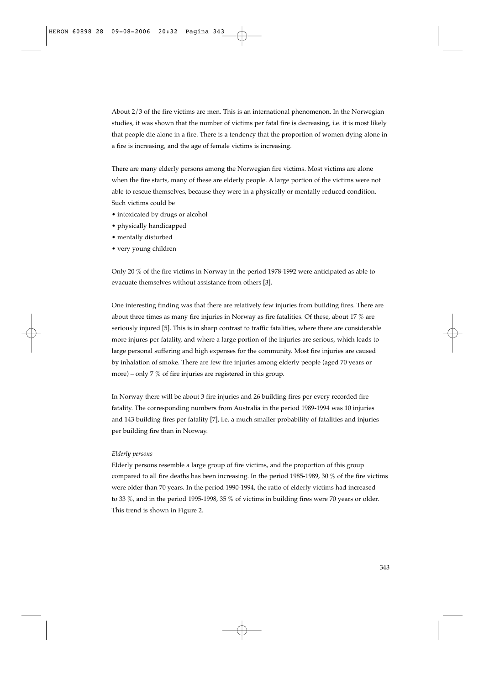About 2/3 of the fire victims are men. This is an international phenomenon. In the Norwegian studies, it was shown that the number of victims per fatal fire is decreasing, i.e. it is most likely that people die alone in a fire. There is a tendency that the proportion of women dying alone in a fire is increasing, and the age of female victims is increasing.

There are many elderly persons among the Norwegian fire victims. Most victims are alone when the fire starts, many of these are elderly people. A large portion of the victims were not able to rescue themselves, because they were in a physically or mentally reduced condition. Such victims could be

- intoxicated by drugs or alcohol
- physically handicapped
- mentally disturbed
- very young children

Only 20 % of the fire victims in Norway in the period 1978-1992 were anticipated as able to evacuate themselves without assistance from others [3].

One interesting finding was that there are relatively few injuries from building fires. There are about three times as many fire injuries in Norway as fire fatalities. Of these, about 17  $\%$  are seriously injured [5]. This is in sharp contrast to traffic fatalities, where there are considerable more injures per fatality, and where a large portion of the injuries are serious, which leads to large personal suffering and high expenses for the community. Most fire injuries are caused by inhalation of smoke. There are few fire injuries among elderly people (aged 70 years or more) – only 7 % of fire injuries are registered in this group.

In Norway there will be about 3 fire injuries and 26 building fires per every recorded fire fatality. The corresponding numbers from Australia in the period 1989-1994 was 10 injuries and 143 building fires per fatality [7], i.e. a much smaller probability of fatalities and injuries per building fire than in Norway.

## *Elderly persons*

Elderly persons resemble a large group of fire victims, and the proportion of this group compared to all fire deaths has been increasing. In the period 1985-1989, 30 % of the fire victims were older than 70 years. In the period 1990-1994, the ratio of elderly victims had increased to 33  $\%$ , and in the period 1995-1998, 35  $\%$  of victims in building fires were 70 years or older. This trend is shown in Figure 2.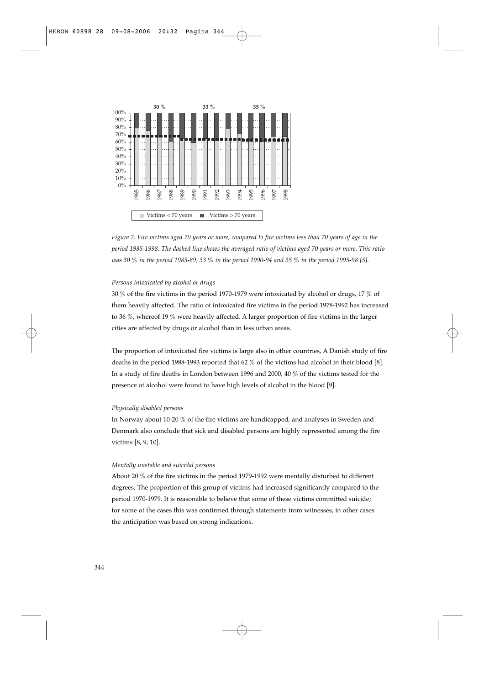

*Figure 2. Fire victims aged 70 years or more, compared to fire victims less than 70 years of age in the period 1985-1998. The dashed line shows the averaged ratio of victims aged 70 years or more. This ratio was 30 % in the period 1985-89, 33 % in the period 1990-94 and 35 % in the period 1995-98 [5].*

## *Persons intoxicated by alcohol or drugs*

30 % of the fire victims in the period 1970-1979 were intoxicated by alcohol or drugs, 17 % of them heavily affected. The ratio of intoxicated fire victims in the period 1978-1992 has increased to 36 %, whereof 19 % were heavily affected. A larger proportion of fire victims in the larger cities are affected by drugs or alcohol than in less urban areas.

The proportion of intoxicated fire victims is large also in other countries, A Danish study of fire deaths in the period 1988-1993 reported that 62 % of the victims had alcohol in their blood [8]. In a study of fire deaths in London between 1996 and 2000, 40 % of the victims tested for the presence of alcohol were found to have high levels of alcohol in the blood [9].

#### *Physically disabled persons*

In Norway about 10-20 % of the fire victims are handicapped, and analyses in Sweden and Denmark also conclude that sick and disabled persons are highly represented among the fire victims [8, 9, 10].

#### *Mentally unstable and suicidal persons*

About 20 % of the fire victims in the period 1979-1992 were mentally disturbed to different degrees. The proportion of this group of victims had increased significantly compared to the period 1970-1979. It is reasonable to believe that some of these victims committed suicide; for some of the cases this was confirmed through statements from witnesses, in other cases the anticipation was based on strong indications.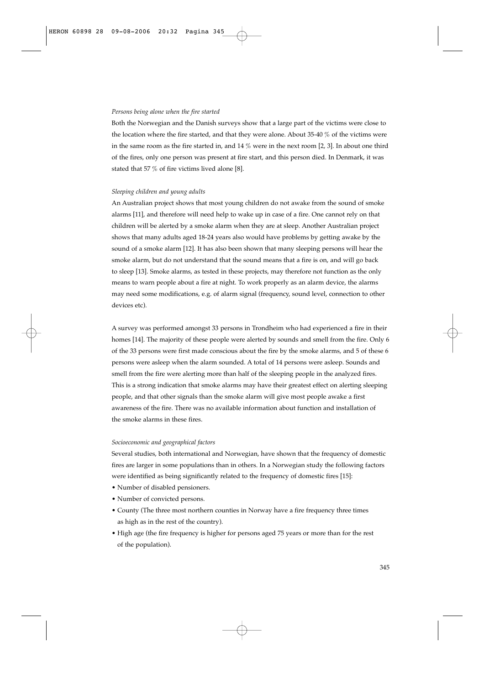### *Persons being alone when the fire started*

Both the Norwegian and the Danish surveys show that a large part of the victims were close to the location where the fire started, and that they were alone. About 35-40 % of the victims were in the same room as the fire started in, and 14 % were in the next room [2, 3]. In about one third of the fires, only one person was present at fire start, and this person died. In Denmark, it was stated that 57 % of fire victims lived alone [8].

#### *Sleeping children and young adults*

An Australian project shows that most young children do not awake from the sound of smoke alarms [11], and therefore will need help to wake up in case of a fire. One cannot rely on that children will be alerted by a smoke alarm when they are at sleep. Another Australian project shows that many adults aged 18-24 years also would have problems by getting awake by the sound of a smoke alarm [12]. It has also been shown that many sleeping persons will hear the smoke alarm, but do not understand that the sound means that a fire is on, and will go back to sleep [13]. Smoke alarms, as tested in these projects, may therefore not function as the only means to warn people about a fire at night. To work properly as an alarm device, the alarms may need some modifications, e.g. of alarm signal (frequency, sound level, connection to other devices etc).

A survey was performed amongst 33 persons in Trondheim who had experienced a fire in their homes [14]. The majority of these people were alerted by sounds and smell from the fire. Only 6 of the 33 persons were first made conscious about the fire by the smoke alarms, and 5 of these 6 persons were asleep when the alarm sounded. A total of 14 persons were asleep. Sounds and smell from the fire were alerting more than half of the sleeping people in the analyzed fires. This is a strong indication that smoke alarms may have their greatest effect on alerting sleeping people, and that other signals than the smoke alarm will give most people awake a first awareness of the fire. There was no available information about function and installation of the smoke alarms in these fires.

#### *Socioeconomic and geographical factors*

Several studies, both international and Norwegian, have shown that the frequency of domestic fires are larger in some populations than in others. In a Norwegian study the following factors were identified as being significantly related to the frequency of domestic fires [15]:

- Number of disabled pensioners.
- Number of convicted persons.
- County (The three most northern counties in Norway have a fire frequency three times as high as in the rest of the country).
- High age (the fire frequency is higher for persons aged 75 years or more than for the rest of the population).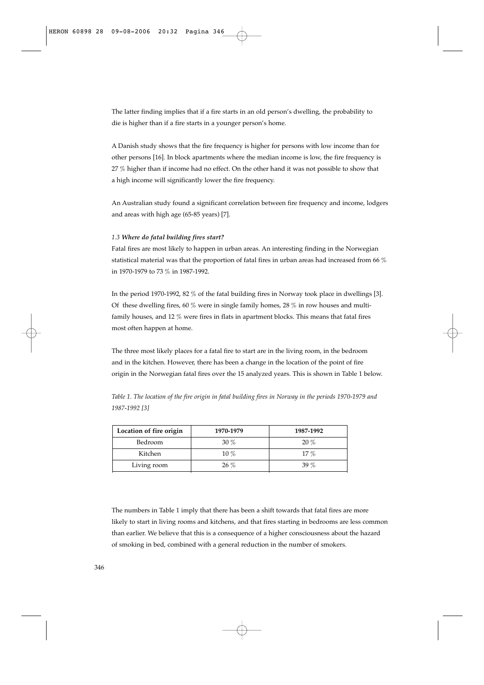The latter finding implies that if a fire starts in an old person's dwelling, the probability to die is higher than if a fire starts in a younger person's home.

A Danish study shows that the fire frequency is higher for persons with low income than for other persons [16]. In block apartments where the median income is low, the fire frequency is 27 % higher than if income had no effect. On the other hand it was not possible to show that a high income will significantly lower the fire frequency.

An Australian study found a significant correlation between fire frequency and income, lodgers and areas with high age (65-85 years) [7].

## *1.3 Where do fatal building fires start?*

Fatal fires are most likely to happen in urban areas. An interesting finding in the Norwegian statistical material was that the proportion of fatal fires in urban areas had increased from 66 % in 1970-1979 to 73 % in 1987-1992.

In the period 1970-1992, 82 % of the fatal building fires in Norway took place in dwellings [3]. Of these dwelling fires, 60 % were in single family homes, 28 % in row houses and multifamily houses, and 12 % were fires in flats in apartment blocks. This means that fatal fires most often happen at home.

The three most likely places for a fatal fire to start are in the living room, in the bedroom and in the kitchen. However, there has been a change in the location of the point of fire origin in the Norwegian fatal fires over the 15 analyzed years. This is shown in Table 1 below.

| Location of fire origin | 1970-1979 | 1987-1992 |
|-------------------------|-----------|-----------|
| Bedroom                 | 30%       | $20 \ \%$ |

Kitchen 10 % 17 %  $\frac{17}{6}$ Living room 26 % 39 %

*Table 1. The location of the fire origin in fatal building fires in Norway in the periods 1970-1979 and 1987-1992 [3]*

The numbers in Table 1 imply that there has been a shift towards that fatal fires are more likely to start in living rooms and kitchens, and that fires starting in bedrooms are less common than earlier. We believe that this is a consequence of a higher consciousness about the hazard of smoking in bed, combined with a general reduction in the number of smokers.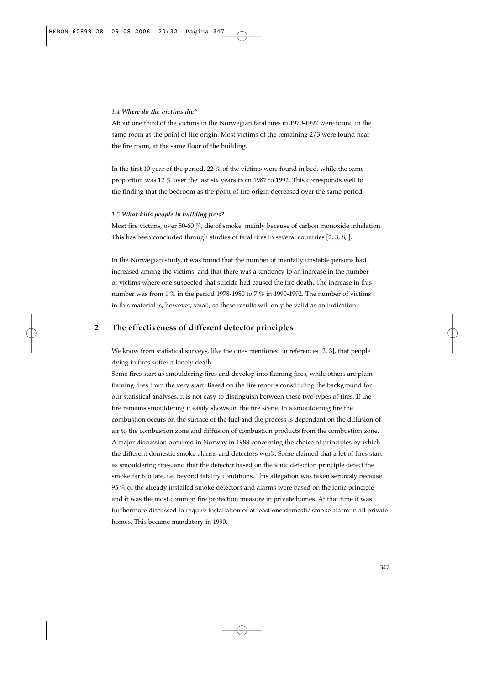#### *1.4 Where do the victims die?*

About one third of the victims in the Norwegian fatal fires in 1970-1992 were found in the same room as the point of fire origin. Most victims of the remaining 2/3 were found near the fire room, at the same floor of the building.

In the first 10 year of the period, 22 % of the victims were found in bed, while the same proportion was 12 % over the last six years from 1987 to 1992. This corresponds well to the finding that the bedroom as the point of fire origin decreased over the same period.

#### *1.5 What kills people in building fires?*

Most fire victims, over 50-60 %, die of smoke, mainly because of carbon monoxide inhalation. This has been concluded through studies of fatal fires in several countries [2, 3, 8, ].

In the Norwegian study, it was found that the number of mentally unstable persons had increased among the victims, and that there was a tendency to an increase in the number of victims where one suspected that suicide had caused the fire death. The increase in this number was from 1  $\%$  in the period 1978-1980 to 7  $\%$  in 1990-1992. The number of victims in this material is, however, small, so these results will only be valid as an indication.

## **2 The effectiveness of different detector principles**

We know from statistical surveys, like the ones mentioned in references [2, 3], that people dying in fires suffer a lonely death.

Some fires start as smouldering fires and develop into flaming fires, while others are plain flaming fires from the very start. Based on the fire reports constituting the background for our statistical analyses, it is not easy to distinguish between these two types of fires. If the fire remains smouldering it easily shows on the fire scene. In a smouldering fire the combustion occurs on the surface of the fuel and the process is dependant on the diffusion of air to the combustion zone and diffusion of combustion products from the combustion zone. A major discussion occurred in Norway in 1988 concerning the choice of principles by which the different domestic smoke alarms and detectors work. Some claimed that a lot of fires start as smouldering fires, and that the detector based on the ionic detection principle detect the smoke far too late, i.e. beyond fatality conditions. This allegation was taken seriously because 95 % of the already installed smoke detectors and alarms were based on the ionic principle and it was the most common fire protection measure in private homes. At that time it was furthermore discussed to require installation of at least one domestic smoke alarm in all private homes. This became mandatory in 1990.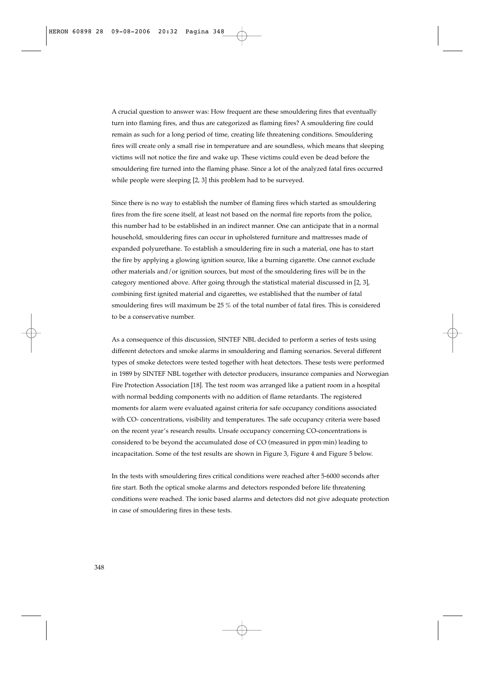A crucial question to answer was: How frequent are these smouldering fires that eventually turn into flaming fires, and thus are categorized as flaming fires? A smouldering fire could remain as such for a long period of time, creating life threatening conditions. Smouldering fires will create only a small rise in temperature and are soundless, which means that sleeping victims will not notice the fire and wake up. These victims could even be dead before the smouldering fire turned into the flaming phase. Since a lot of the analyzed fatal fires occurred while people were sleeping [2, 3] this problem had to be surveyed.

Since there is no way to establish the number of flaming fires which started as smouldering fires from the fire scene itself, at least not based on the normal fire reports from the police, this number had to be established in an indirect manner. One can anticipate that in a normal household, smouldering fires can occur in upholstered furniture and mattresses made of expanded polyurethane. To establish a smouldering fire in such a material, one has to start the fire by applying a glowing ignition source, like a burning cigarette. One cannot exclude other materials and/or ignition sources, but most of the smouldering fires will be in the category mentioned above. After going through the statistical material discussed in [2, 3], combining first ignited material and cigarettes, we established that the number of fatal smouldering fires will maximum be 25 % of the total number of fatal fires. This is considered to be a conservative number.

As a consequence of this discussion, SINTEF NBL decided to perform a series of tests using different detectors and smoke alarms in smouldering and flaming scenarios. Several different types of smoke detectors were tested together with heat detectors. These tests were performed in 1989 by SINTEF NBL together with detector producers, insurance companies and Norwegian Fire Protection Association [18]. The test room was arranged like a patient room in a hospital with normal bedding components with no addition of flame retardants. The registered moments for alarm were evaluated against criteria for safe occupancy conditions associated with CO- concentrations, visibility and temperatures. The safe occupancy criteria were based on the recent year's research results. Unsafe occupancy concerning CO-concentrations is considered to be beyond the accumulated dose of CO (measured in ppm.min) leading to incapacitation. Some of the test results are shown in Figure 3, Figure 4 and Figure 5 below.

In the tests with smouldering fires critical conditions were reached after 5-6000 seconds after fire start. Both the optical smoke alarms and detectors responded before life threatening conditions were reached. The ionic based alarms and detectors did not give adequate protection in case of smouldering fires in these tests.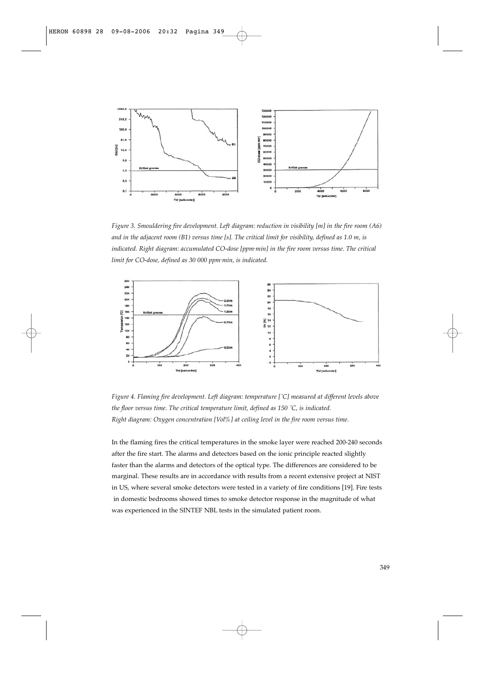

*Figure 3. Smouldering fire development. Left diagram: reduction in visibility [m] in the fire room (A6) and in the adjacent room (B1) versus time [s]. The critical limit for visibility, defined as 1.0 m, is indicated. Right diagram: accumulated CO-dose [ppm.min] in the fire room versus time. The critical limit for CO-dose, defined as 30 000 ppm.min, is indicated.*



*Figure 4. Flaming fire development. Left diagram: temperature [˚C] measured at different levels above the floor versus time. The critical temperature limit, defined as 150 ˚C, is indicated. Right diagram: Oxygen concentration [Vol%] at ceiling level in the fire room versus time.*

In the flaming fires the critical temperatures in the smoke layer were reached 200-240 seconds after the fire start. The alarms and detectors based on the ionic principle reacted slightly faster than the alarms and detectors of the optical type. The differences are considered to be marginal. These results are in accordance with results from a recent extensive project at NIST in US, where several smoke detectors were tested in a variety of fire conditions [19]. Fire tests in domestic bedrooms showed times to smoke detector response in the magnitude of what was experienced in the SINTEF NBL tests in the simulated patient room.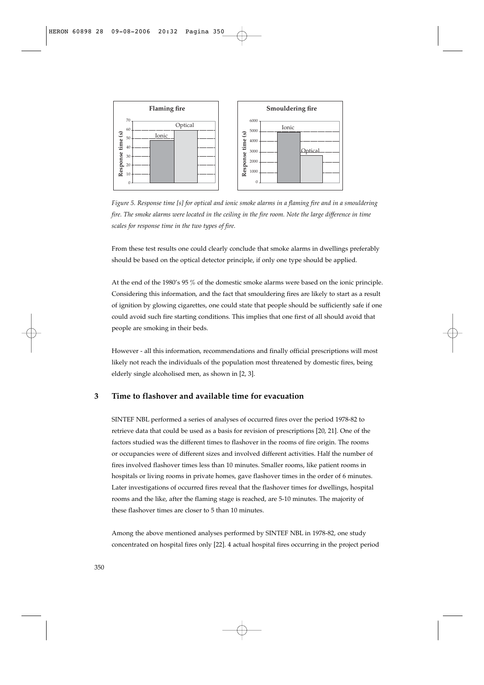

*Figure 5. Response time [s] for optical and ionic smoke alarms in a flaming fire and in a smouldering fire. The smoke alarms were located in the ceiling in the fire room. Note the large difference in time scales for response time in the two types of fire.*

From these test results one could clearly conclude that smoke alarms in dwellings preferably should be based on the optical detector principle, if only one type should be applied.

At the end of the 1980's 95 % of the domestic smoke alarms were based on the ionic principle. Considering this information, and the fact that smouldering fires are likely to start as a result of ignition by glowing cigarettes, one could state that people should be sufficiently safe if one could avoid such fire starting conditions. This implies that one first of all should avoid that people are smoking in their beds.

However - all this information, recommendations and finally official prescriptions will most likely not reach the individuals of the population most threatened by domestic fires, being elderly single alcoholised men, as shown in [2, 3].

## **3 Time to flashover and available time for evacuation**

SINTEF NBL performed a series of analyses of occurred fires over the period 1978-82 to retrieve data that could be used as a basis for revision of prescriptions [20, 21]. One of the factors studied was the different times to flashover in the rooms of fire origin. The rooms or occupancies were of different sizes and involved different activities. Half the number of fires involved flashover times less than 10 minutes. Smaller rooms, like patient rooms in hospitals or living rooms in private homes, gave flashover times in the order of 6 minutes. Later investigations of occurred fires reveal that the flashover times for dwellings, hospital rooms and the like, after the flaming stage is reached, are 5-10 minutes. The majority of these flashover times are closer to 5 than 10 minutes. Equal to the spectral fires only actual fires only actual fires only actual to the projection of the projection of the projection of the projection of the projection of the project period of the projection of the project

Among the above mentioned analyses performed by SINTEF NBL in 1978-82, one study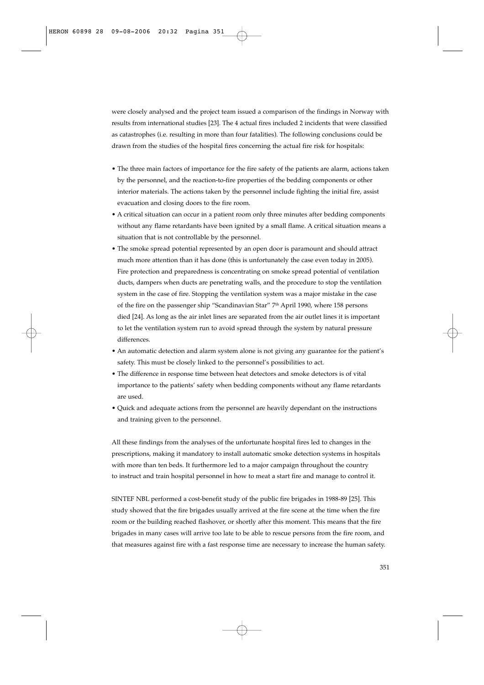were closely analysed and the project team issued a comparison of the findings in Norway with results from international studies [23]. The 4 actual fires included 2 incidents that were classified as catastrophes (i.e. resulting in more than four fatalities). The following conclusions could be drawn from the studies of the hospital fires concerning the actual fire risk for hospitals:

- The three main factors of importance for the fire safety of the patients are alarm, actions taken by the personnel, and the reaction-to-fire properties of the bedding components or other interior materials. The actions taken by the personnel include fighting the initial fire, assist evacuation and closing doors to the fire room.
- A critical situation can occur in a patient room only three minutes after bedding components without any flame retardants have been ignited by a small flame. A critical situation means a situation that is not controllable by the personnel.
- The smoke spread potential represented by an open door is paramount and should attract much more attention than it has done (this is unfortunately the case even today in 2005). Fire protection and preparedness is concentrating on smoke spread potential of ventilation ducts, dampers when ducts are penetrating walls, and the procedure to stop the ventilation system in the case of fire. Stopping the ventilation system was a major mistake in the case of the fire on the passenger ship "Scandinavian Star" 7<sup>th</sup> April 1990, where 158 persons died [24]. As long as the air inlet lines are separated from the air outlet lines it is important to let the ventilation system run to avoid spread through the system by natural pressure differences.
- An automatic detection and alarm system alone is not giving any guarantee for the patient's safety. This must be closely linked to the personnel's possibilities to act.
- The difference in response time between heat detectors and smoke detectors is of vital importance to the patients' safety when bedding components without any flame retardants are used.
- Quick and adequate actions from the personnel are heavily dependant on the instructions and training given to the personnel.

All these findings from the analyses of the unfortunate hospital fires led to changes in the prescriptions, making it mandatory to install automatic smoke detection systems in hospitals with more than ten beds. It furthermore led to a major campaign throughout the country to instruct and train hospital personnel in how to meat a start fire and manage to control it.

SINTEF NBL performed a cost-benefit study of the public fire brigades in 1988-89 [25]. This study showed that the fire brigades usually arrived at the fire scene at the time when the fire room or the building reached flashover, or shortly after this moment. This means that the fire brigades in many cases will arrive too late to be able to rescue persons from the fire room, and that measures against fire with a fast response time are necessary to increase the human safety.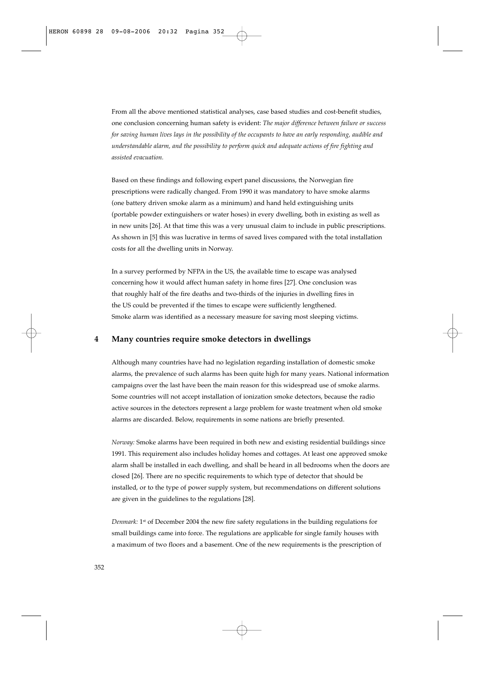From all the above mentioned statistical analyses, case based studies and cost-benefit studies, one conclusion concerning human safety is evident: *The major difference between failure or success for saving human lives lays in the possibility of the occupants to have an early responding, audible and understandable alarm, and the possibility to perform quick and adequate actions of fire fighting and assisted evacuation.*

Based on these findings and following expert panel discussions, the Norwegian fire prescriptions were radically changed. From 1990 it was mandatory to have smoke alarms (one battery driven smoke alarm as a minimum) and hand held extinguishing units (portable powder extinguishers or water hoses) in every dwelling, both in existing as well as in new units [26]. At that time this was a very unusual claim to include in public prescriptions. As shown in [5] this was lucrative in terms of saved lives compared with the total installation costs for all the dwelling units in Norway.

In a survey performed by NFPA in the US, the available time to escape was analysed concerning how it would affect human safety in home fires [27]. One conclusion was that roughly half of the fire deaths and two-thirds of the injuries in dwelling fires in the US could be prevented if the times to escape were sufficiently lengthened. Smoke alarm was identified as a necessary measure for saving most sleeping victims.

## **4 Many countries require smoke detectors in dwellings**

Although many countries have had no legislation regarding installation of domestic smoke alarms, the prevalence of such alarms has been quite high for many years. National information campaigns over the last have been the main reason for this widespread use of smoke alarms. Some countries will not accept installation of ionization smoke detectors, because the radio active sources in the detectors represent a large problem for waste treatment when old smoke alarms are discarded. Below, requirements in some nations are briefly presented.

*Norway:* Smoke alarms have been required in both new and existing residential buildings since 1991. This requirement also includes holiday homes and cottages. At least one approved smoke alarm shall be installed in each dwelling, and shall be heard in all bedrooms when the doors are closed [26]. There are no specific requirements to which type of detector that should be installed, or to the type of power supply system, but recommendations on different solutions are given in the guidelines to the regulations [28].

Denmark: 1<sup>st</sup> of December 2004 the new fire safety regulations in the building regulations for small buildings came into force. The regulations are applicable for single family houses with a maximum of two floors and a basement. One of the new requirements is the prescription of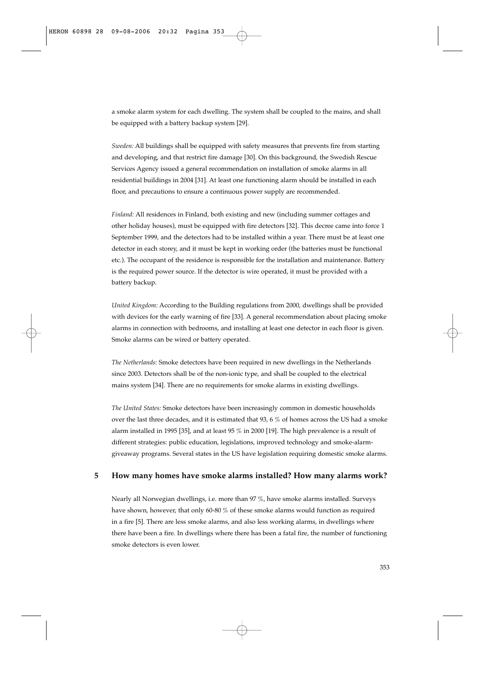a smoke alarm system for each dwelling. The system shall be coupled to the mains, and shall be equipped with a battery backup system [29].

*Sweden:* All buildings shall be equipped with safety measures that prevents fire from starting and developing, and that restrict fire damage [30]. On this background, the Swedish Rescue Services Agency issued a general recommendation on installation of smoke alarms in all residential buildings in 2004 [31]. At least one functioning alarm should be installed in each floor, and precautions to ensure a continuous power supply are recommended.

*Finland:* All residences in Finland, both existing and new (including summer cottages and other holiday houses), must be equipped with fire detectors [32]. This decree came into force 1 September 1999, and the detectors had to be installed within a year. There must be at least one detector in each storey, and it must be kept in working order (the batteries must be functional etc.). The occupant of the residence is responsible for the installation and maintenance. Battery is the required power source. If the detector is wire operated, it must be provided with a battery backup.

*United Kingdom:* According to the Building regulations from 2000, dwellings shall be provided with devices for the early warning of fire [33]. A general recommendation about placing smoke alarms in connection with bedrooms, and installing at least one detector in each floor is given. Smoke alarms can be wired or battery operated.

*The Netherlands:* Smoke detectors have been required in new dwellings in the Netherlands since 2003. Detectors shall be of the non-ionic type, and shall be coupled to the electrical mains system [34]. There are no requirements for smoke alarms in existing dwellings.

*The United States:* Smoke detectors have been increasingly common in domestic households over the last three decades, and it is estimated that 93, 6 % of homes across the US had a smoke alarm installed in 1995 [35], and at least 95 % in 2000 [19]. The high prevalence is a result of different strategies: public education, legislations, improved technology and smoke-alarmgiveaway programs. Several states in the US have legislation requiring domestic smoke alarms.

## **5 How many homes have smoke alarms installed? How many alarms work?**

Nearly all Norwegian dwellings, i.e. more than 97 %, have smoke alarms installed. Surveys have shown, however, that only 60-80 % of these smoke alarms would function as required in a fire [5]. There are less smoke alarms, and also less working alarms, in dwellings where there have been a fire. In dwellings where there has been a fatal fire, the number of functioning smoke detectors is even lower.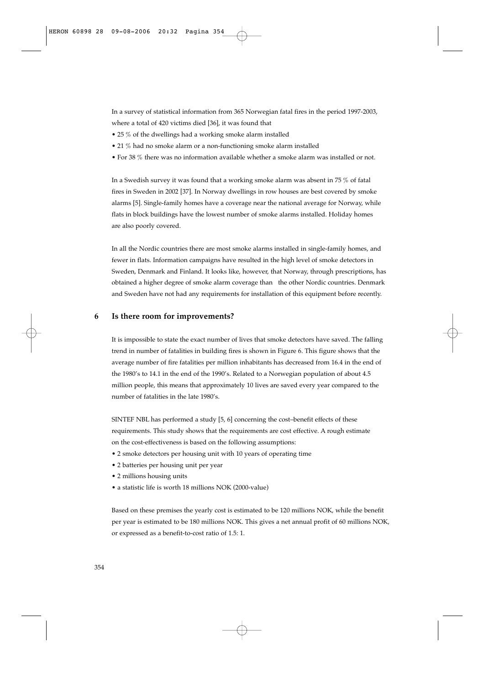In a survey of statistical information from 365 Norwegian fatal fires in the period 1997-2003, where a total of 420 victims died [36], it was found that

- 25 % of the dwellings had a working smoke alarm installed
- 21 % had no smoke alarm or a non-functioning smoke alarm installed
- For 38 % there was no information available whether a smoke alarm was installed or not.

In a Swedish survey it was found that a working smoke alarm was absent in 75 % of fatal fires in Sweden in 2002 [37]. In Norway dwellings in row houses are best covered by smoke alarms [5]. Single-family homes have a coverage near the national average for Norway, while flats in block buildings have the lowest number of smoke alarms installed. Holiday homes are also poorly covered.

In all the Nordic countries there are most smoke alarms installed in single-family homes, and fewer in flats. Information campaigns have resulted in the high level of smoke detectors in Sweden, Denmark and Finland. It looks like, however, that Norway, through prescriptions, has obtained a higher degree of smoke alarm coverage than the other Nordic countries. Denmark and Sweden have not had any requirements for installation of this equipment before recently.

## **6 Is there room for improvements?**

It is impossible to state the exact number of lives that smoke detectors have saved. The falling trend in number of fatalities in building fires is shown in Figure 6. This figure shows that the average number of fire fatalities per million inhabitants has decreased from 16.4 in the end of the 1980's to 14.1 in the end of the 1990's. Related to a Norwegian population of about 4.5 million people, this means that approximately 10 lives are saved every year compared to the number of fatalities in the late 1980's.

SINTEF NBL has performed a study [5, 6] concerning the cost–benefit effects of these requirements. This study shows that the requirements are cost effective. A rough estimate on the cost-effectiveness is based on the following assumptions:

- 2 smoke detectors per housing unit with 10 years of operating time
- 2 batteries per housing unit per year
- 2 millions housing units
- a statistic life is worth 18 millions NOK (2000-value)

Based on these premises the yearly cost is estimated to be 120 millions NOK, while the benefit per year is estimated to be 180 millions NOK. This gives a net annual profit of 60 millions NOK, or expressed as a benefit-to-cost ratio of 1.5: 1.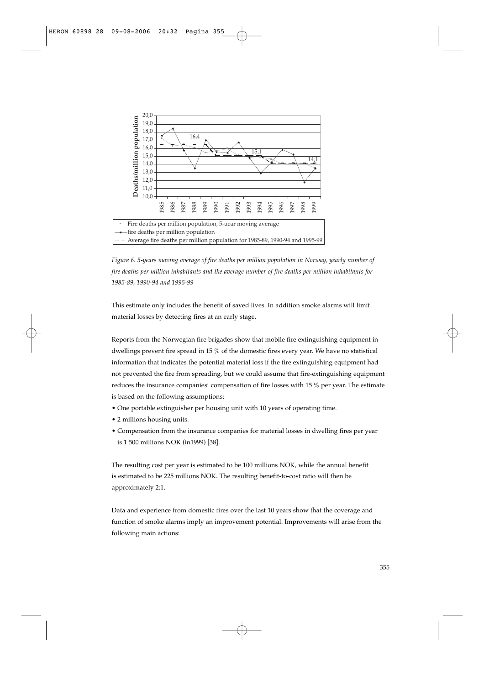

*Figure 6. 5-years moving average of fire deaths per million population in Norway, yearly number of fire deaths per million inhabitants and the average number of fire deaths per million inhabitants for 1985-89, 1990-94 and 1995-99*

This estimate only includes the benefit of saved lives. In addition smoke alarms will limit material losses by detecting fires at an early stage.

Reports from the Norwegian fire brigades show that mobile fire extinguishing equipment in dwellings prevent fire spread in 15 % of the domestic fires every year. We have no statistical information that indicates the potential material loss if the fire extinguishing equipment had not prevented the fire from spreading, but we could assume that fire-extinguishing equipment reduces the insurance companies' compensation of fire losses with 15 % per year. The estimate is based on the following assumptions:

- One portable extinguisher per housing unit with 10 years of operating time.
- 2 millions housing units.
- Compensation from the insurance companies for material losses in dwelling fires per year is 1 500 millions NOK (in1999) [38].

The resulting cost per year is estimated to be 100 millions NOK, while the annual benefit is estimated to be 225 millions NOK. The resulting benefit-to-cost ratio will then be approximately 2:1.

Data and experience from domestic fires over the last 10 years show that the coverage and function of smoke alarms imply an improvement potential. Improvements will arise from the following main actions: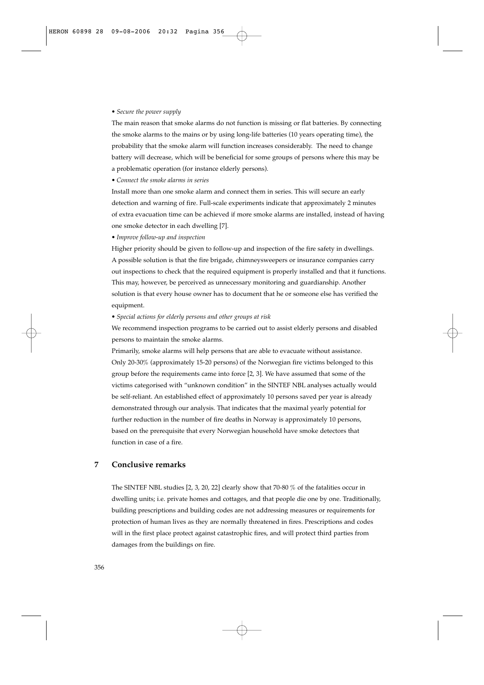### *• Secure the power supply*

The main reason that smoke alarms do not function is missing or flat batteries. By connecting the smoke alarms to the mains or by using long-life batteries (10 years operating time), the probability that the smoke alarm will function increases considerably. The need to change battery will decrease, which will be beneficial for some groups of persons where this may be a problematic operation (for instance elderly persons).

#### *• Connect the smoke alarms in series*

Install more than one smoke alarm and connect them in series. This will secure an early detection and warning of fire. Full-scale experiments indicate that approximately 2 minutes of extra evacuation time can be achieved if more smoke alarms are installed, instead of having one smoke detector in each dwelling [7].

## *• Improve follow-up and inspection*

Higher priority should be given to follow-up and inspection of the fire safety in dwellings. A possible solution is that the fire brigade, chimneysweepers or insurance companies carry out inspections to check that the required equipment is properly installed and that it functions. This may, however, be perceived as unnecessary monitoring and guardianship. Another solution is that every house owner has to document that he or someone else has verified the equipment.

#### *• Special actions for elderly persons and other groups at risk*

We recommend inspection programs to be carried out to assist elderly persons and disabled persons to maintain the smoke alarms.

Primarily, smoke alarms will help persons that are able to evacuate without assistance. Only 20-30% (approximately 15-20 persons) of the Norwegian fire victims belonged to this group before the requirements came into force [2, 3]. We have assumed that some of the victims categorised with "unknown condition" in the SINTEF NBL analyses actually would be self-reliant. An established effect of approximately 10 persons saved per year is already demonstrated through our analysis. That indicates that the maximal yearly potential for further reduction in the number of fire deaths in Norway is approximately 10 persons, based on the prerequisite that every Norwegian household have smoke detectors that function in case of a fire.

# **7 Conclusive remarks**

The SINTEF NBL studies [2, 3, 20, 22] clearly show that 70-80 % of the fatalities occur in dwelling units; i.e. private homes and cottages, and that people die one by one. Traditionally, building prescriptions and building codes are not addressing measures or requirements for protection of human lives as they are normally threatened in fires. Prescriptions and codes will in the first place protect against catastrophic fires, and will protect third parties from damages from the buildings on fire.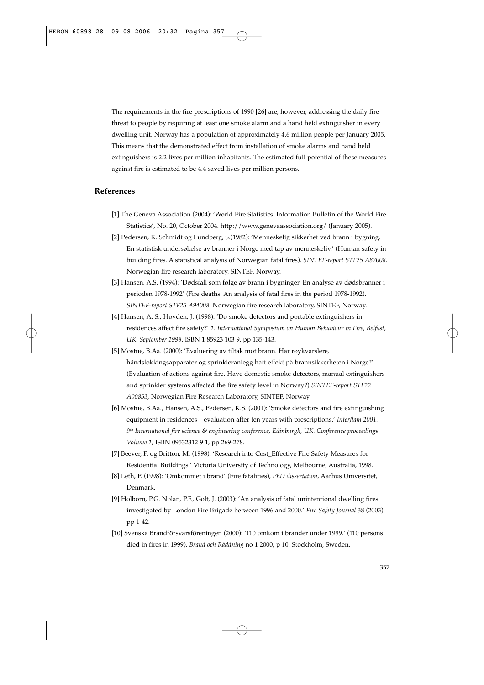The requirements in the fire prescriptions of 1990 [26] are, however, addressing the daily fire threat to people by requiring at least one smoke alarm and a hand held extinguisher in every dwelling unit. Norway has a population of approximately 4.6 million people per January 2005. This means that the demonstrated effect from installation of smoke alarms and hand held extinguishers is 2.2 lives per million inhabitants. The estimated full potential of these measures against fire is estimated to be 4.4 saved lives per million persons.

# **References**

- [1] The Geneva Association (2004): 'World Fire Statistics. Information Bulletin of the World Fire Statistics', No. 20, October 2004. http://www.genevaassociation.org/ (January 2005).
- [2] Pedersen, K. Schmidt og Lundberg, S.(1982): 'Menneskelig sikkerhet ved brann i bygning. En statistisk undersøkelse av branner i Norge med tap av menneskeliv.' (Human safety in building fires. A statistical analysis of Norwegian fatal fires). *SINTEF-report STF25 A82008.* Norwegian fire research laboratory, SINTEF, Norway.
- [3] Hansen, A.S. (1994): 'Dødsfall som følge av brann i bygninger. En analyse av dødsbranner i perioden 1978-1992' (Fire deaths. An analysis of fatal fires in the period 1978-1992). *SINTEF-report STF25 A94008*. Norwegian fire research laboratory, SINTEF, Norway.
- [4] Hansen, A. S., Hovden, J. (1998): 'Do smoke detectors and portable extinguishers in residences affect fire safety?' *1. International Symposium on Human Behaviour in Fire, Belfast, UK, September 1998*. ISBN 1 85923 103 9, pp 135-143.
- [5] Mostue, B.Aa. (2000): 'Evaluering av tiltak mot brann. Har røykvarslere, håndslokkingsapparater og sprinkleranlegg hatt effekt på brannsikkerheten i Norge?' (Evaluation of actions against fire. Have domestic smoke detectors, manual extinguishers and sprinkler systems affected the fire safety level in Norway?) *SINTEF-report STF22 A00853*, Norwegian Fire Research Laboratory, SINTEF, Norway.
- [6] Mostue, B.Aa., Hansen, A.S., Pedersen, K.S. (2001): 'Smoke detectors and fire extinguishing equipment in residences – evaluation after ten years with prescriptions.' *Interflam 2001, 9th International fire science & engineering conference, Edinburgh, UK. Conference proceedings Volume 1*, ISBN 09532312 9 1, pp 269-278.
- [7] Beever, P. og Britton, M. (1998): 'Research into Cost\_Effective Fire Safety Measures for Residential Buildings.' Victoria University of Technology, Melbourne, Australia, 1998.
- [8] Leth, P. (1998): 'Omkommet i brand' (Fire fatalities), *PhD dissertation*, Aarhus Universitet, Denmark.
- [9] Holborn, P.G. Nolan, P.F., Golt, J. (2003): 'An analysis of fatal unintentional dwelling fires investigated by London Fire Brigade between 1996 and 2000.' *Fire Safety Journal* 38 (2003) pp 1-42.
- [10] Svenska Brandförsvarsföreningen (2000): '110 omkom i brander under 1999.' (110 persons died in fires in 1999). *Brand och Räddning* no 1 2000, p 10. Stockholm, Sweden.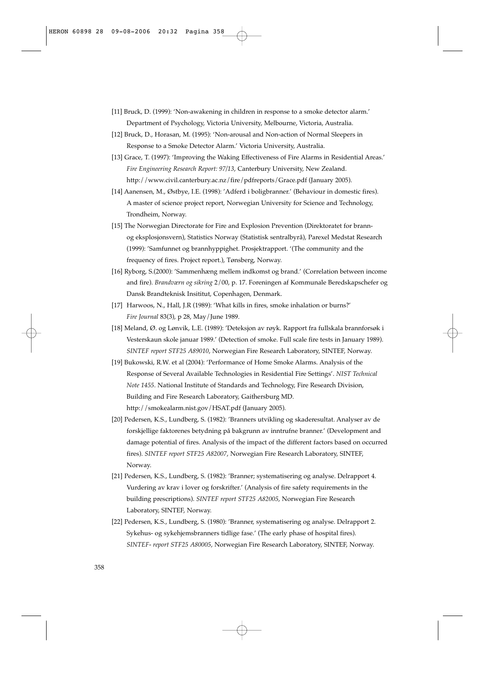- [11] Bruck, D. (1999): 'Non-awakening in children in response to a smoke detector alarm.' Department of Psychology, Victoria University, Melbourne, Victoria, Australia.
- [12] Bruck, D., Horasan, M. (1995): 'Non-arousal and Non-action of Normal Sleepers in Response to a Smoke Detector Alarm.' Victoria University, Australia.
- [13] Grace, T. (1997): 'Improving the Waking Effectiveness of Fire Alarms in Residential Areas.' *Fire Engineering Research Report: 97/13*, Canterbury University, New Zealand. http://www.civil.canterbury.ac.nz/fire/pdfreports/Grace.pdf (January 2005).
- [14] Aanensen, M., Østbye, I.E. (1998): 'Adferd i boligbranner.' (Behaviour in domestic fires). A master of science project report, Norwegian University for Science and Technology, Trondheim, Norway.
- [15] The Norwegian Directorate for Fire and Explosion Prevention (Direktoratet for brannog eksplosjonsvern), Statistics Norway (Statistisk sentralbyrå), Parexel Medstat Research (1999): 'Samfunnet og brannhyppighet. Prosjektrapport. '(The community and the frequency of fires. Project report.), Tønsberg, Norway.
- [16] Ryborg, S.(2000): 'Sammenhæng mellem indkomst og brand.' (Correlation between income and fire). *Brandværn og sikring* 2/00, p. 17. Foreningen af Kommunale Beredskapschefer og Dansk Brandteknisk Insititut, Copenhagen, Denmark.
- [17] Harwoos, N., Hall, J.R (1989): 'What kills in fires, smoke inhalation or burns?' *Fire Journal* 83(3), p 28, May/June 1989.
- [18] Meland, Ø. og Lønvik, L.E. (1989): 'Deteksjon av røyk. Rapport fra fullskala brannforsøk i Vesterskaun skole januar 1989.' (Detection of smoke. Full scale fire tests in January 1989). *SINTEF report STF25 A89010*, Norwegian Fire Research Laboratory, SINTEF, Norway.
- [19] Bukowski, R.W. et al (2004): 'Performance of Home Smoke Alarms. Analysis of the Response of Several Available Technologies in Residential Fire Settings'. *NIST Technical Note 1455*. National Institute of Standards and Technology, Fire Research Division, Building and Fire Research Laboratory, Gaithersburg MD. http://smokealarm.nist.gov/HSAT.pdf (January 2005).
- [20] Pedersen, K.S., Lundberg, S. (1982): 'Branners utvikling og skaderesultat. Analyser av de forskjellige faktorenes betydning på bakgrunn av inntrufne branner.' (Development and damage potential of fires. Analysis of the impact of the different factors based on occurred fires). *SINTEF report STF25 A82007*, Norwegian Fire Research Laboratory, SINTEF, Norway.
- [21] Pedersen, K.S., Lundberg, S. (1982): 'Branner; systematisering og analyse. Delrapport 4. Vurdering av krav i lover og forskrifter.' (Analysis of fire safety requirements in the building prescriptions). *SINTEF report STF25 A82005*, Norwegian Fire Research Laboratory, SINTEF, Norway.
- [22] Pedersen, K.S., Lundberg, S. (1980): 'Branner, systematisering og analyse. Delrapport 2. Sykehus- og sykehjemsbranners tidlige fase.' (The early phase of hospital fires). *SINTEF- report STF25 A80005*, Norwegian Fire Research Laboratory, SINTEF, Norway.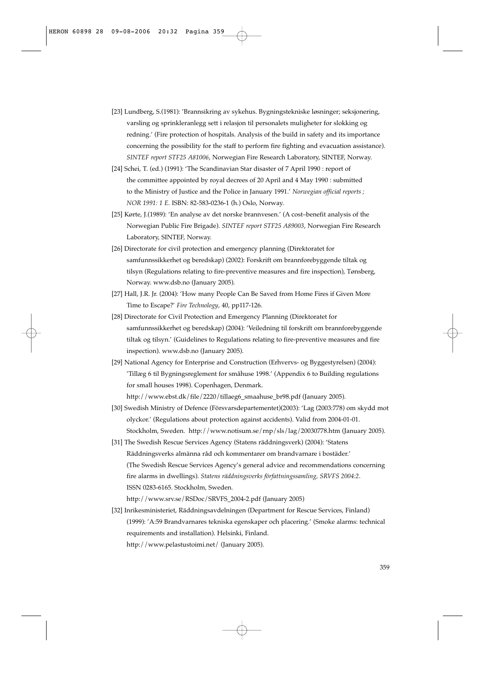- [23] Lundberg, S.(1981): 'Brannsikring av sykehus. Bygningstekniske løsninger; seksjonering, varsling og sprinkleranlegg sett i relasjon til personalets muligheter for slokking og redning.' (Fire protection of hospitals. Analysis of the build in safety and its importance concerning the possibility for the staff to perform fire fighting and evacuation assistance). *SINTEF report STF25 A81006*, Norwegian Fire Research Laboratory, SINTEF, Norway.
- [24] Schei, T. (ed.) (1991): 'The Scandinavian Star disaster of 7 April 1990 : report of the committee appointed by royal decrees of 20 April and 4 May 1990 : submitted to the Ministry of Justice and the Police in January 1991.' *Norwegian official reports ; NOR 1991: 1 E.* ISBN: 82-583-0236-1 (h.) Oslo, Norway.
- [25] Kørte, J.(1989): 'En analyse av det norske brannvesen.' (A cost–benefit analysis of the Norwegian Public Fire Brigade). *SINTEF report STF25 A89003*, Norwegian Fire Research Laboratory, SINTEF, Norway.
- [26] Directorate for civil protection and emergency planning (Direktoratet for samfunnssikkerhet og beredskap) (2002): Forskrift om brannforebyggende tiltak og tilsyn (Regulations relating to fire-preventive measures and fire inspection), Tønsberg, Norway. www.dsb.no (January 2005).
- [27] Hall, J.R. Jr. (2004): 'How many People Can Be Saved from Home Fires if Given More Time to Escape?' *Fire Technology*, 40, pp117-126.
- [28] Directorate for Civil Protection and Emergency Planning (Direktoratet for samfunnssikkerhet og beredskap) (2004): 'Veiledning til forskrift om brannforebyggende tiltak og tilsyn.' (Guidelines to Regulations relating to fire-preventive measures and fire inspection). www.dsb.no (January 2005).
- [29] National Agency for Enterprise and Construction (Erhvervs- og Byggestyrelsen) (2004): 'Tillæg 6 til Bygningsreglement for småhuse 1998.' (Appendix 6 to Building regulations for small houses 1998). Copenhagen, Denmark. http://www.ebst.dk/file/2220/tillaeg6\_smaahuse\_br98.pdf (January 2005).
- [30] Swedish Ministry of Defence (Försvarsdepartementet)(2003): 'Lag (2003:778) om skydd mot olyckor.' (Regulations about protection against accidents). Valid from 2004-01-01. Stockholm, Sweden. http://www.notisum.se/rnp/sls/lag/20030778.htm (January 2005).
- [31] The Swedish Rescue Services Agency (Statens räddningsverk) (2004): 'Statens Räddningsverks almänna råd och kommentarer om brandvarnare i bostäder.' (The Swedish Rescue Services Agency's general advice and recommendations concerning fire alarms in dwellings). *Statens räddningsverks författningssamling, SRVFS 2004:2*. ISSN 0283-6165. Stockholm, Sweden. http://www.srv.se/RSDoc/SRVFS\_2004-2.pdf (January 2005)
- [32] Inrikesministeriet, Räddningsavdelningen (Department for Rescue Services, Finland) (1999): 'A:59 Brandvarnares tekniska egenskaper och placering.' (Smoke alarms: technical requirements and installation). Helsinki, Finland. http://www.pelastustoimi.net/ (January 2005).